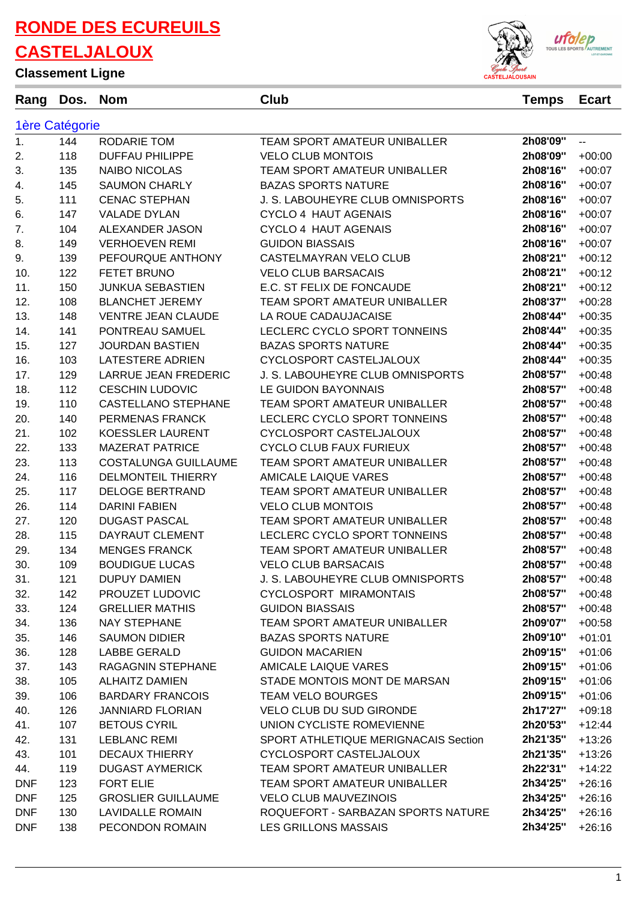**Classement Ligne**



**Rang Dos. Nom Club Temps Ecart**

#### 1ère Catégorie 1. 144 RODARIE TOM TEAM SPORT AMATEUR UNIBALLER **2h08'09''** -- 2. 118 DUFFAU PHILIPPE VELO CLUB MONTOIS **2h08'09''** +00:00 3. 135 NAIBO NICOLAS TEAM SPORT AMATEUR UNIBALLER **2h08'16''** +00:07 4. 145 SAUMON CHARLY BAZAS SPORTS NATURE **2h08'16''** +00:07 5. 111 CENAC STEPHAN J. S. LABOUHEYRE CLUB OMNISPORTS **2h08'16''** +00:07 6. 147 VALADE DYLAN CYCLO 4 HAUT AGENAIS **2h08'16''** +00:07 7. 104 ALEXANDER JASON CYCLO 4 HAUT AGENAIS **2h08'16''** +00:07 8. 149 VERHOEVEN REMI GUIDON BIASSAIS **2h08'16''** +00:07 9. 139 PEFOURQUE ANTHONY CASTELMAYRAN VELO CLUB **2h08'21''** +00:12 10. 122 FETET BRUNO VELO CLUB BARSACAIS **2h08'21''** +00:12 11. 150 JUNKUA SEBASTIEN E.C. ST FELIX DE FONCAUDE **2h08'21''** +00:12 12. 108 BLANCHET JEREMY TEAM SPORT AMATEUR UNIBALLER **2h08'37''** +00:28 13. 148 VENTRE JEAN CLAUDE LA ROUE CADAUJACAISE **2h08'44''** +00:35 14. 141 PONTREAU SAMUEL LECLERC CYCLO SPORT TONNEINS **2h08'44''** +00:35 15. 127 JOURDAN BASTIEN BAZAS SPORTS NATURE **2h08'44''** +00:35 16. 103 LATESTERE ADRIEN CYCLOSPORT CASTELJALOUX **2h08'44''** +00:35 17. 129 LARRUE JEAN FREDERIC J. S. LABOUHEYRE CLUB OMNISPORTS **2h08'57''** +00:48 18. 112 CESCHIN LUDOVIC LE GUIDON BAYONNAIS **2h08'57''** +00:48 19. 110 CASTELLANO STEPHANE TEAM SPORT AMATEUR UNIBALLER **2h08'57''** +00:48 20. 140 PERMENAS FRANCK LECLERC CYCLO SPORT TONNEINS **2h08'57''** +00:48 21. 102 KOESSLER LAURENT CYCLOSPORT CASTELJALOUX **2h08'57''** +00:48 22. 133 MAZERAT PATRICE CYCLO CLUB FAUX FURIEUX **2h08'57''** +00:48 23. 113 COSTALUNGA GUILLAUME TEAM SPORT AMATEUR UNIBALLER **2h08'57''** +00:48 24. 116 DELMONTEIL THIERRY AMICALE LAIQUE VARES **2h08'57''** +00:48 25. 117 DELOGE BERTRAND TEAM SPORT AMATEUR UNIBALLER **2h08'57''** +00:48 26. 114 DARINI FABIEN VELO CLUB MONTOIS **2h08'57''** +00:48 27. 120 DUGAST PASCAL TEAM SPORT AMATEUR UNIBALLER **2h08'57''** +00:48 28. 115 DAYRAUT CLEMENT LECLERC CYCLO SPORT TONNEINS **2h08'57''** +00:48 29. 134 MENGES FRANCK TEAM SPORT AMATEUR UNIBALLER **2h08'57''** +00:48 30. 109 BOUDIGUE LUCAS VELO CLUB BARSACAIS **2h08'57''** +00:48 31. 121 DUPUY DAMIEN J. S. LABOUHEYRE CLUB OMNISPORTS **2h08'57''** +00:48 32. 142 PROUZET LUDOVIC CYCLOSPORT MIRAMONTAIS **2h08'57''** +00:48 33. 124 GRELLIER MATHIS GUIDON BIASSAIS **2h08'57''** +00:48 34. 136 NAY STEPHANE TEAM SPORT AMATEUR UNIBALLER **2h09'07''** +00:58 35. 146 SAUMON DIDIER BAZAS SPORTS NATURE **2h09'10''** +01:01 36. 128 LABBE GERALD GUIDON MACARIEN **2h09'15''** +01:06 37. 143 RAGAGNIN STEPHANE AMICALE LAIQUE VARES **2h09'15''** +01:06 38. 105 ALHAITZ DAMIEN STADE MONTOIS MONT DE MARSAN **2h09'15''** +01:06 39. 106 BARDARY FRANCOIS TEAM VELO BOURGES **2h09'15''** +01:06 40. 126 JANNIARD FLORIAN VELO CLUB DU SUD GIRONDE **2h17'27''** +09:18 41. 107 BETOUS CYRIL UNION CYCLISTE ROMEVIENNE **2h20'53''** +12:44 42. 131 LEBLANC REMI SPORT ATHLETIQUE MERIGNACAIS Section **2h21'35''** +13:26 43. 101 DECAUX THIERRY CYCLOSPORT CASTELJALOUX **2h21'35''** +13:26 44. 119 DUGAST AYMERICK TEAM SPORT AMATEUR UNIBALLER **2h22'31''** +14:22 DNF 123 FORT ELIE TEAM SPORT AMATEUR UNIBALLER **2h34'25''** +26:16 DNF 125 GROSLIER GUILLAUME VELO CLUB MAUVEZINOIS **2h34'25''** +26:16 DNF 130 LAVIDALLE ROMAIN ROQUEFORT - SARBAZAN SPORTS NATURE **2h34'25''** +26:16 DNF 138 PECONDON ROMAIN LES GRILLONS MASSAIS **2h34'25''** +26:16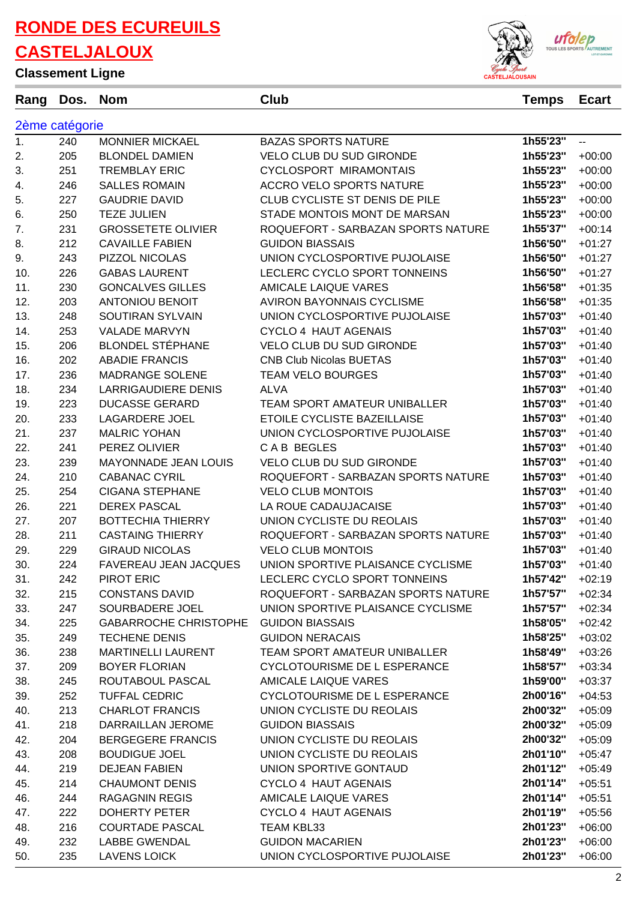**Classement Ligne**



| VROJUNIUM FIŽIIV |                |                            |                                    | <b>CASTELJALOUSAIN</b> |              |
|------------------|----------------|----------------------------|------------------------------------|------------------------|--------------|
| Rang             | Dos.           | <b>Nom</b>                 | Club                               | <b>Temps</b>           | <b>Ecart</b> |
|                  | 2ème catégorie |                            |                                    |                        |              |
| 1.               | 240            | <b>MONNIER MICKAEL</b>     | <b>BAZAS SPORTS NATURE</b>         | 1h55'23"               | --           |
| 2.               | 205            | <b>BLONDEL DAMIEN</b>      | <b>VELO CLUB DU SUD GIRONDE</b>    | 1h55'23"               | $+00:00$     |
| 3.               | 251            | <b>TREMBLAY ERIC</b>       | CYCLOSPORT MIRAMONTAIS             | 1h55'23"               | $+00:00$     |
| 4.               | 246            | <b>SALLES ROMAIN</b>       | <b>ACCRO VELO SPORTS NATURE</b>    | 1h55'23"               | $+00:00$     |
| 5.               | 227            | <b>GAUDRIE DAVID</b>       | CLUB CYCLISTE ST DENIS DE PILE     | 1h55'23"               | $+00:00$     |
| 6.               | 250            | <b>TEZE JULIEN</b>         | STADE MONTOIS MONT DE MARSAN       | 1h55'23"               | $+00:00$     |
| 7.               | 231            | <b>GROSSETETE OLIVIER</b>  | ROQUEFORT - SARBAZAN SPORTS NATURE | 1h55'37"               | $+00:14$     |
| 8.               | 212            | <b>CAVAILLE FABIEN</b>     | <b>GUIDON BIASSAIS</b>             | 1h56'50"               | $+01:27$     |
| 9.               | 243            | PIZZOL NICOLAS             | UNION CYCLOSPORTIVE PUJOLAISE      | 1h56'50"               | $+01:27$     |
| 10.              | 226            | <b>GABAS LAURENT</b>       | LECLERC CYCLO SPORT TONNEINS       | 1h56'50"               | $+01:27$     |
| 11.              | 230            | <b>GONCALVES GILLES</b>    | <b>AMICALE LAIQUE VARES</b>        | 1h56'58"               | $+01:35$     |
| 12.              | 203            | <b>ANTONIOU BENOIT</b>     | <b>AVIRON BAYONNAIS CYCLISME</b>   | 1h56'58"               | $+01:35$     |
| 13.              | 248            | <b>SOUTIRAN SYLVAIN</b>    | UNION CYCLOSPORTIVE PUJOLAISE      | 1h57'03"               | $+01:40$     |
| 14.              | 253            | <b>VALADE MARVYN</b>       | <b>CYCLO 4 HAUT AGENAIS</b>        | 1h57'03"               | $+01:40$     |
| 15.              | 206            | <b>BLONDEL STÉPHANE</b>    | <b>VELO CLUB DU SUD GIRONDE</b>    | 1h57'03"               | $+01:40$     |
| 16.              | 202            | <b>ABADIE FRANCIS</b>      | <b>CNB Club Nicolas BUETAS</b>     | 1h57'03"               | $+01:40$     |
| 17.              | 236            | <b>MADRANGE SOLENE</b>     | <b>TEAM VELO BOURGES</b>           | 1h57'03"               | $+01:40$     |
| 18.              | 234            | <b>LARRIGAUDIERE DENIS</b> | <b>ALVA</b>                        | 1h57'03"               | $+01:40$     |
| 19.              | 223            | <b>DUCASSE GERARD</b>      | TEAM SPORT AMATEUR UNIBALLER       | 1h57'03"               | $+01:40$     |
| 20.              | 233            | <b>LAGARDERE JOEL</b>      | ETOILE CYCLISTE BAZEILLAISE        | 1h57'03"               | $+01:40$     |
| 21.              | 237            | <b>MALRIC YOHAN</b>        | UNION CYCLOSPORTIVE PUJOLAISE      | 1h57'03"               | $+01:40$     |
| 22.              | 241            | PEREZ OLIVIER              | CAB BEGLES                         | 1h57'03"               | $+01:40$     |
| 23.              | 239            | MAYONNADE JEAN LOUIS       | <b>VELO CLUB DU SUD GIRONDE</b>    | 1h57'03"               | $+01:40$     |
| 24.              | 210            | <b>CABANAC CYRIL</b>       | ROQUEFORT - SARBAZAN SPORTS NATURE | 1h57'03"               | $+01:40$     |
| 25.              | 254            | <b>CIGANA STEPHANE</b>     | <b>VELO CLUB MONTOIS</b>           | 1h57'03"               | $+01:40$     |
| 26.              | 221            | <b>DEREX PASCAL</b>        | LA ROUE CADAUJACAISE               | 1h57'03"               | $+01:40$     |
| 27.              | 207            | <b>BOTTECHIA THIERRY</b>   | UNION CYCLISTE DU REOLAIS          | 1h57'03"               | $+01:40$     |
| 28.              | 211            | <b>CASTAING THIERRY</b>    | ROQUEFORT - SARBAZAN SPORTS NATURE | 1h57'03"               | $+01:40$     |
| 29.              | 229            | <b>GIRAUD NICOLAS</b>      | <b>VELO CLUB MONTOIS</b>           | 1h57'03"               | $+01:40$     |

30. 224 FAVEREAU JEAN JACQUES UNION SPORTIVE PLAISANCE CYCLISME **1h57'03''** +01:40 31. 242 PIROT ERIC LECLERC CYCLO SPORT TONNEINS **1h57'42''** +02:19

| 32. | 215 | <b>CONSTANS DAVID</b>        | ROQUEFORT - SARBAZAN SPORTS NATURE  | 1h57'57" | $+02:34$ |
|-----|-----|------------------------------|-------------------------------------|----------|----------|
| 33. | 247 | SOURBADERE JOEL              | UNION SPORTIVE PLAISANCE CYCLISME   | 1h57'57" | $+02:34$ |
| 34. | 225 | <b>GABARROCHE CHRISTOPHE</b> | <b>GUIDON BIASSAIS</b>              | 1h58'05" | $+02:42$ |
| 35. | 249 | <b>TECHENE DENIS</b>         | <b>GUIDON NERACAIS</b>              | 1h58'25" | $+03:02$ |
| 36. | 238 | <b>MARTINELLI LAURENT</b>    | <b>TEAM SPORT AMATEUR UNIBALLER</b> | 1h58'49" | $+03:26$ |
| 37. | 209 | <b>BOYER FLORIAN</b>         | CYCLOTOURISME DE L ESPERANCE        | 1h58'57" | $+03:34$ |
| 38. | 245 | ROUTABOUL PASCAL             | AMICALE LAIQUE VARES                | 1h59'00" | $+03:37$ |
| 39. | 252 | <b>TUFFAL CEDRIC</b>         | CYCLOTOURISME DE L ESPERANCE        | 2h00'16" | $+04:53$ |
| 40. | 213 | <b>CHARLOT FRANCIS</b>       | UNION CYCLISTE DU REOLAIS           | 2h00'32" | $+05:09$ |
| 41. | 218 | DARRAILLAN JEROME            | <b>GUIDON BIASSAIS</b>              | 2h00'32" | $+05:09$ |
| 42. | 204 | <b>BERGEGERE FRANCIS</b>     | UNION CYCLISTE DU REOLAIS           | 2h00'32" | $+05:09$ |
| 43. | 208 | <b>BOUDIGUE JOEL</b>         | UNION CYCLISTE DU REOLAIS           | 2h01'10" | $+05:47$ |
| 44. | 219 | <b>DEJEAN FABIEN</b>         | UNION SPORTIVE GONTAUD              | 2h01'12" | $+05:49$ |
| 45. | 214 | <b>CHAUMONT DENIS</b>        | <b>CYCLO 4 HAUT AGENAIS</b>         | 2h01'14" | $+05:51$ |
| 46. | 244 | RAGAGNIN REGIS               | AMICALE LAIQUE VARES                | 2h01'14" | $+05:51$ |
| 47. | 222 | <b>DOHERTY PETER</b>         | CYCLO 4 HAUT AGENAIS                | 2h01'19" | $+05:56$ |
| 48. | 216 | <b>COURTADE PASCAL</b>       | <b>TEAM KBL33</b>                   | 2h01'23" | $+06:00$ |
| 49. | 232 | <b>LABBE GWENDAL</b>         | <b>GUIDON MACARIEN</b>              | 2h01'23" | $+06:00$ |
| 50. | 235 | <b>LAVENS LOICK</b>          | UNION CYCLOSPORTIVE PUJOLAISE       | 2h01'23" | $+06:00$ |
|     |     |                              |                                     |          | 2        |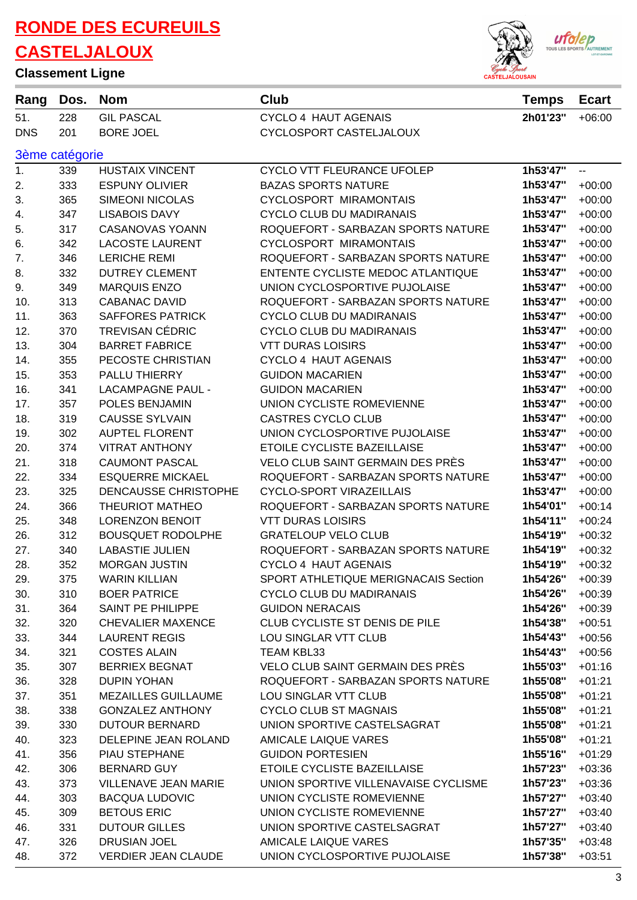#### **Classement Ligne**



| Rang       | Dos.           | <b>Nom</b>                  | Club                                 | <b>Temps</b> | <b>Ecart</b> |  |  |  |
|------------|----------------|-----------------------------|--------------------------------------|--------------|--------------|--|--|--|
| 51.        | 228            | <b>GIL PASCAL</b>           | <b>CYCLO 4 HAUT AGENAIS</b>          | 2h01'23"     | $+06:00$     |  |  |  |
| <b>DNS</b> | 201            | <b>BORE JOEL</b>            | CYCLOSPORT CASTELJALOUX              |              |              |  |  |  |
|            | 3ème catégorie |                             |                                      |              |              |  |  |  |
| 1.         | 339            | <b>HUSTAIX VINCENT</b>      | CYCLO VTT FLEURANCE UFOLEP           | 1h53'47"     | --           |  |  |  |
| 2.         | 333            | <b>ESPUNY OLIVIER</b>       | <b>BAZAS SPORTS NATURE</b>           | 1h53'47"     | $+00:00$     |  |  |  |
| 3.         | 365            | <b>SIMEONI NICOLAS</b>      | <b>CYCLOSPORT MIRAMONTAIS</b>        | 1h53'47"     | $+00:00$     |  |  |  |
| 4.         | 347            | <b>LISABOIS DAVY</b>        | <b>CYCLO CLUB DU MADIRANAIS</b>      | 1h53'47"     | $+00:00$     |  |  |  |
| 5.         | 317            | <b>CASANOVAS YOANN</b>      | ROQUEFORT - SARBAZAN SPORTS NATURE   | 1h53'47"     | $+00:00$     |  |  |  |
| 6.         | 342            | <b>LACOSTE LAURENT</b>      | <b>CYCLOSPORT MIRAMONTAIS</b>        | 1h53'47"     | $+00:00$     |  |  |  |
| 7.         | 346            | <b>LERICHE REMI</b>         | ROQUEFORT - SARBAZAN SPORTS NATURE   | 1h53'47"     | $+00:00$     |  |  |  |
| 8.         | 332            | <b>DUTREY CLEMENT</b>       | ENTENTE CYCLISTE MEDOC ATLANTIQUE    | 1h53'47"     | $+00:00$     |  |  |  |
| 9.         | 349            | <b>MARQUIS ENZO</b>         | UNION CYCLOSPORTIVE PUJOLAISE        | 1h53'47"     | $+00:00$     |  |  |  |
| 10.        | 313            | <b>CABANAC DAVID</b>        | ROQUEFORT - SARBAZAN SPORTS NATURE   | 1h53'47"     | $+00:00$     |  |  |  |
| 11.        | 363            | <b>SAFFORES PATRICK</b>     | <b>CYCLO CLUB DU MADIRANAIS</b>      | 1h53'47"     | $+00:00$     |  |  |  |
| 12.        | 370            | <b>TREVISAN CÉDRIC</b>      | <b>CYCLO CLUB DU MADIRANAIS</b>      | 1h53'47"     | $+00:00$     |  |  |  |
| 13.        | 304            | <b>BARRET FABRICE</b>       | <b>VTT DURAS LOISIRS</b>             | 1h53'47"     | $+00:00$     |  |  |  |
| 14.        | 355            | PECOSTE CHRISTIAN           | <b>CYCLO 4 HAUT AGENAIS</b>          | 1h53'47"     | $+00:00$     |  |  |  |
| 15.        | 353            | PALLU THIERRY               | <b>GUIDON MACARIEN</b>               | 1h53'47"     | $+00:00$     |  |  |  |
| 16.        | 341            | <b>LACAMPAGNE PAUL -</b>    | <b>GUIDON MACARIEN</b>               | 1h53'47"     | $+00:00$     |  |  |  |
| 17.        | 357            | POLES BENJAMIN              | UNION CYCLISTE ROMEVIENNE            | 1h53'47"     | $+00:00$     |  |  |  |
| 18.        | 319            | <b>CAUSSE SYLVAIN</b>       | <b>CASTRES CYCLO CLUB</b>            | 1h53'47"     | $+00:00$     |  |  |  |
| 19.        | 302            | <b>AUPTEL FLORENT</b>       | UNION CYCLOSPORTIVE PUJOLAISE        | 1h53'47"     | $+00:00$     |  |  |  |
| 20.        | 374            | <b>VITRAT ANTHONY</b>       | ETOILE CYCLISTE BAZEILLAISE          | 1h53'47"     | $+00:00$     |  |  |  |
| 21.        | 318            | <b>CAUMONT PASCAL</b>       | VELO CLUB SAINT GERMAIN DES PRÈS     | 1h53'47"     | $+00:00$     |  |  |  |
| 22.        | 334            | <b>ESQUERRE MICKAEL</b>     | ROQUEFORT - SARBAZAN SPORTS NATURE   | 1h53'47"     | $+00:00$     |  |  |  |
| 23.        | 325            | DENCAUSSE CHRISTOPHE        | <b>CYCLO-SPORT VIRAZEILLAIS</b>      | 1h53'47"     | $+00:00$     |  |  |  |
| 24.        | 366            | <b>THEURIOT MATHEO</b>      | ROQUEFORT - SARBAZAN SPORTS NATURE   | 1h54'01"     | $+00:14$     |  |  |  |
| 25.        | 348            | <b>LORENZON BENOIT</b>      | <b>VTT DURAS LOISIRS</b>             | 1h54'11"     | $+00:24$     |  |  |  |
| 26.        | 312            | <b>BOUSQUET RODOLPHE</b>    | <b>GRATELOUP VELO CLUB</b>           | 1h54'19"     | $+00:32$     |  |  |  |
| 27.        | 340            | <b>LABASTIE JULIEN</b>      | ROQUEFORT - SARBAZAN SPORTS NATURE   | 1h54'19"     | $+00:32$     |  |  |  |
| 28.        | 352            | <b>MORGAN JUSTIN</b>        | <b>CYCLO 4 HAUT AGENAIS</b>          | 1h54'19"     | $+00:32$     |  |  |  |
| 29.        | 375            | <b>WARIN KILLIAN</b>        | SPORT ATHLETIQUE MERIGNACAIS Section | 1h54'26"     | $+00:39$     |  |  |  |
| 30.        | 310            | <b>BOER PATRICE</b>         | <b>CYCLO CLUB DU MADIRANAIS</b>      | 1h54'26"     | $+00:39$     |  |  |  |
| 31.        | 364            | SAINT PE PHILIPPE           | <b>GUIDON NERACAIS</b>               | 1h54'26"     | $+00:39$     |  |  |  |
| 32.        | 320            | <b>CHEVALIER MAXENCE</b>    | CLUB CYCLISTE ST DENIS DE PILE       | 1h54'38"     | $+00:51$     |  |  |  |
| 33.        | 344            | <b>LAURENT REGIS</b>        | LOU SINGLAR VTT CLUB                 | 1h54'43"     | $+00:56$     |  |  |  |
| 34.        | 321            | <b>COSTES ALAIN</b>         | TEAM KBL33                           | 1h54'43"     | $+00:56$     |  |  |  |
| 35.        | 307            | <b>BERRIEX BEGNAT</b>       | VELO CLUB SAINT GERMAIN DES PRÈS     | 1h55'03"     | $+01:16$     |  |  |  |
| 36.        | 328            | <b>DUPIN YOHAN</b>          | ROQUEFORT - SARBAZAN SPORTS NATURE   | 1h55'08"     | $+01:21$     |  |  |  |
| 37.        | 351            | <b>MEZAILLES GUILLAUME</b>  | LOU SINGLAR VTT CLUB                 | 1h55'08"     | $+01:21$     |  |  |  |
| 38.        | 338            | <b>GONZALEZ ANTHONY</b>     | <b>CYCLO CLUB ST MAGNAIS</b>         | 1h55'08"     | $+01:21$     |  |  |  |
| 39.        | 330            | <b>DUTOUR BERNARD</b>       | UNION SPORTIVE CASTELSAGRAT          | 1h55'08"     | $+01:21$     |  |  |  |
| 40.        | 323            | DELEPINE JEAN ROLAND        | <b>AMICALE LAIQUE VARES</b>          | 1h55'08"     | $+01:21$     |  |  |  |
| 41.        | 356            | PIAU STEPHANE               | <b>GUIDON PORTESIEN</b>              | 1h55'16"     | $+01:29$     |  |  |  |
| 42.        | 306            | <b>BERNARD GUY</b>          | ETOILE CYCLISTE BAZEILLAISE          | 1h57'23"     | $+03:36$     |  |  |  |
| 43.        | 373            | <b>VILLENAVE JEAN MARIE</b> | UNION SPORTIVE VILLENAVAISE CYCLISME | 1h57'23"     | $+03:36$     |  |  |  |
| 44.        | 303            | <b>BACQUA LUDOVIC</b>       | UNION CYCLISTE ROMEVIENNE            | 1h57'27"     | $+03:40$     |  |  |  |
| 45.        | 309            | <b>BETOUS ERIC</b>          | UNION CYCLISTE ROMEVIENNE            | 1h57'27"     | $+03:40$     |  |  |  |
| 46.        | 331            | <b>DUTOUR GILLES</b>        | UNION SPORTIVE CASTELSAGRAT          | 1h57'27"     | $+03:40$     |  |  |  |
| 47.        | 326            | DRUSIAN JOEL                | <b>AMICALE LAIQUE VARES</b>          | 1h57'35"     | $+03:48$     |  |  |  |
| 48.        | 372            | <b>VERDIER JEAN CLAUDE</b>  | UNION CYCLOSPORTIVE PUJOLAISE        | 1h57'38"     | $+03:51$     |  |  |  |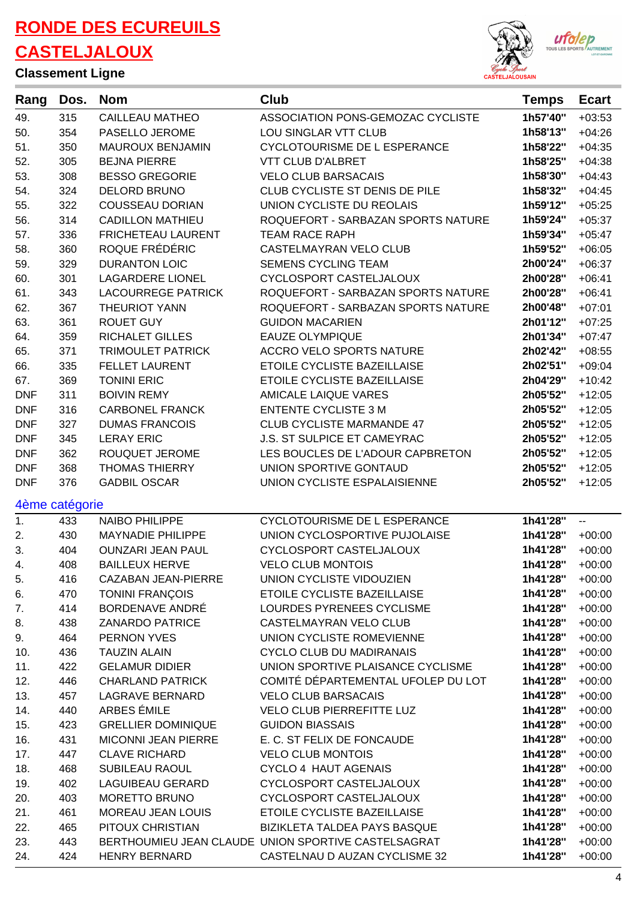**Classement Ligne**

 $\bar{a}$ 



| Rang           | Dos. | <b>Nom</b>                 | Club                                                | <b>Temps</b> | <b>Ecart</b> |
|----------------|------|----------------------------|-----------------------------------------------------|--------------|--------------|
| 49.            | 315  | <b>CAILLEAU MATHEO</b>     | ASSOCIATION PONS-GEMOZAC CYCLISTE                   | 1h57'40"     | $+03:53$     |
| 50.            | 354  | PASELLO JEROME             | LOU SINGLAR VTT CLUB                                | 1h58'13"     | $+04:26$     |
| 51.            | 350  | MAUROUX BENJAMIN           | <b>CYCLOTOURISME DE L ESPERANCE</b>                 | 1h58'22"     | $+04:35$     |
| 52.            | 305  | <b>BEJNA PIERRE</b>        | <b>VTT CLUB D'ALBRET</b>                            | 1h58'25"     | $+04:38$     |
| 53.            | 308  | <b>BESSO GREGORIE</b>      | <b>VELO CLUB BARSACAIS</b>                          | 1h58'30"     | $+04:43$     |
| 54.            | 324  | DELORD BRUNO               | CLUB CYCLISTE ST DENIS DE PILE                      | 1h58'32"     | $+04:45$     |
| 55.            | 322  | <b>COUSSEAU DORIAN</b>     | UNION CYCLISTE DU REOLAIS                           | 1h59'12"     | $+05:25$     |
| 56.            | 314  | <b>CADILLON MATHIEU</b>    | ROQUEFORT - SARBAZAN SPORTS NATURE                  | 1h59'24"     | $+05:37$     |
| 57.            | 336  | FRICHETEAU LAURENT         | <b>TEAM RACE RAPH</b>                               | 1h59'34"     | $+05:47$     |
| 58.            | 360  | ROQUE FRÉDÉRIC             | CASTELMAYRAN VELO CLUB                              | 1h59'52"     | $+06:05$     |
| 59.            | 329  | <b>DURANTON LOIC</b>       | <b>SEMENS CYCLING TEAM</b>                          | 2h00'24"     | $+06:37$     |
| 60.            | 301  | <b>LAGARDERE LIONEL</b>    | CYCLOSPORT CASTELJALOUX                             | 2h00'28"     | $+06:41$     |
| 61.            | 343  | <b>LACOURREGE PATRICK</b>  | ROQUEFORT - SARBAZAN SPORTS NATURE                  | 2h00'28"     | $+06:41$     |
| 62.            | 367  | <b>THEURIOT YANN</b>       | ROQUEFORT - SARBAZAN SPORTS NATURE                  | 2h00'48"     | $+07:01$     |
| 63.            | 361  | <b>ROUET GUY</b>           | <b>GUIDON MACARIEN</b>                              | 2h01'12"     | $+07:25$     |
| 64.            | 359  | <b>RICHALET GILLES</b>     | <b>EAUZE OLYMPIQUE</b>                              | 2h01'34"     | $+07:47$     |
| 65.            | 371  | <b>TRIMOULET PATRICK</b>   | <b>ACCRO VELO SPORTS NATURE</b>                     | 2h02'42"     | $+08:55$     |
| 66.            | 335  | <b>FELLET LAURENT</b>      | ETOILE CYCLISTE BAZEILLAISE                         | 2h02'51"     | $+09:04$     |
| 67.            | 369  | <b>TONINI ERIC</b>         | ETOILE CYCLISTE BAZEILLAISE                         | 2h04'29"     | $+10:42$     |
| <b>DNF</b>     | 311  | <b>BOIVIN REMY</b>         | <b>AMICALE LAIQUE VARES</b>                         | 2h05'52"     | $+12:05$     |
| <b>DNF</b>     | 316  | <b>CARBONEL FRANCK</b>     | <b>ENTENTE CYCLISTE 3 M</b>                         | 2h05'52"     | $+12:05$     |
| <b>DNF</b>     | 327  | <b>DUMAS FRANCOIS</b>      | <b>CLUB CYCLISTE MARMANDE 47</b>                    | 2h05'52"     | $+12:05$     |
| <b>DNF</b>     | 345  | <b>LERAY ERIC</b>          | J.S. ST SULPICE ET CAMEYRAC                         | 2h05'52"     | $+12:05$     |
| <b>DNF</b>     | 362  | ROUQUET JEROME             | LES BOUCLES DE L'ADOUR CAPBRETON                    | 2h05'52"     | $+12:05$     |
| <b>DNF</b>     | 368  | <b>THOMAS THIERRY</b>      | UNION SPORTIVE GONTAUD                              | 2h05'52"     | $+12:05$     |
| <b>DNF</b>     | 376  | <b>GADBIL OSCAR</b>        | UNION CYCLISTE ESPALAISIENNE                        | 2h05'52"     | $+12:05$     |
|                |      |                            |                                                     |              |              |
| 4ème catégorie |      |                            |                                                     |              |              |
| 1.             | 433  | <b>NAIBO PHILIPPE</b>      | CYCLOTOURISME DE L ESPERANCE                        | 1h41'28"     | --           |
| 2.             | 430  | <b>MAYNADIE PHILIPPE</b>   | UNION CYCLOSPORTIVE PUJOLAISE                       | 1h41'28"     | $+00:00$     |
| 3.             | 404  | <b>OUNZARI JEAN PAUL</b>   | CYCLOSPORT CASTELJALOUX                             | 1h41'28"     | $+00:00$     |
| 4.             | 408  | <b>BAILLEUX HERVE</b>      | <b>VELO CLUB MONTOIS</b>                            | 1h41'28"     | $+00:00$     |
| 5.             | 416  | CAZABAN JEAN-PIERRE        | UNION CYCLISTE VIDOUZIEN                            | 1h41'28"     | $+00:00$     |
| 6.             | 470  | <b>TONINI FRANÇOIS</b>     | ETOILE CYCLISTE BAZEILLAISE                         | 1h41'28"     | $+00:00$     |
| 7.             | 414  | BORDENAVE ANDRÉ            | LOURDES PYRENEES CYCLISME                           | 1h41'28"     | $+00:00$     |
| 8.             | 438  | <b>ZANARDO PATRICE</b>     | CASTELMAYRAN VELO CLUB                              | 1h41'28"     | $+00:00$     |
| 9.             | 464  | PERNON YVES                | UNION CYCLISTE ROMEVIENNE                           | 1h41'28"     | $+00:00$     |
| 10.            | 436  | <b>TAUZIN ALAIN</b>        | <b>CYCLO CLUB DU MADIRANAIS</b>                     | 1h41'28"     | $+00:00$     |
| 11.            | 422  | <b>GELAMUR DIDIER</b>      | UNION SPORTIVE PLAISANCE CYCLISME                   | 1h41'28"     | $+00:00$     |
| 12.            | 446  | <b>CHARLAND PATRICK</b>    | COMITÉ DÉPARTEMENTAL UFOLEP DU LOT                  | 1h41'28"     | $+00:00$     |
| 13.            | 457  | <b>LAGRAVE BERNARD</b>     | <b>VELO CLUB BARSACAIS</b>                          | 1h41'28"     | $+00:00$     |
| 14.            | 440  | ARBES ÉMILE                | <b>VELO CLUB PIERREFITTE LUZ</b>                    | 1h41'28"     | $+00:00$     |
| 15.            | 423  | <b>GRELLIER DOMINIQUE</b>  | <b>GUIDON BIASSAIS</b>                              | 1h41'28"     | $+00:00$     |
| 16.            | 431  | <b>MICONNI JEAN PIERRE</b> | E. C. ST FELIX DE FONCAUDE                          | 1h41'28"     | $+00:00$     |
| 17.            | 447  | <b>CLAVE RICHARD</b>       | <b>VELO CLUB MONTOIS</b>                            | 1h41'28"     | $+00:00$     |
| 18.            | 468  | SUBILEAU RAOUL             | <b>CYCLO 4 HAUT AGENAIS</b>                         | 1h41'28"     | $+00:00$     |
| 19.            | 402  | <b>LAGUIBEAU GERARD</b>    | CYCLOSPORT CASTELJALOUX                             | 1h41'28"     | $+00:00$     |
| 20.            | 403  | MORETTO BRUNO              | CYCLOSPORT CASTELJALOUX                             | 1h41'28"     | $+00:00$     |
| 21.            | 461  | <b>MOREAU JEAN LOUIS</b>   | ETOILE CYCLISTE BAZEILLAISE                         | 1h41'28"     | $+00:00$     |
| 22.            | 465  | PITOUX CHRISTIAN           | BIZIKLETA TALDEA PAYS BASQUE                        | 1h41'28"     | $+00:00$     |
| 23.            | 443  |                            | BERTHOUMIEU JEAN CLAUDE UNION SPORTIVE CASTELSAGRAT | 1h41'28"     | $+00:00$     |
| 24.            | 424  | <b>HENRY BERNARD</b>       | CASTELNAU D AUZAN CYCLISME 32                       | 1h41'28"     | $+00:00$     |